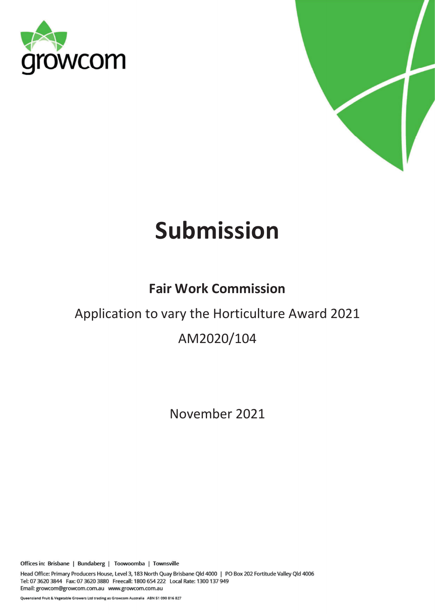



# Submission

# Fair Work Commission

# Application to vary the Horticulture Award 2021

# AM2020/104

November 2021

Offices in: Brisbane | Bundaberg | Toowoomba | Townsville

Head Office: Primary Producers House, Level 3, 183 North Quay Brisbane Qld 4000 | PO Box 202 Fortitude Valley Qld 4006 Tel: 07 3620 3844 Fax: 07 3620 3880 Freecall: 1800 654 222 Local Rate: 1300 137 949 Email: growcom@growcom.com.au www.growcom.com.au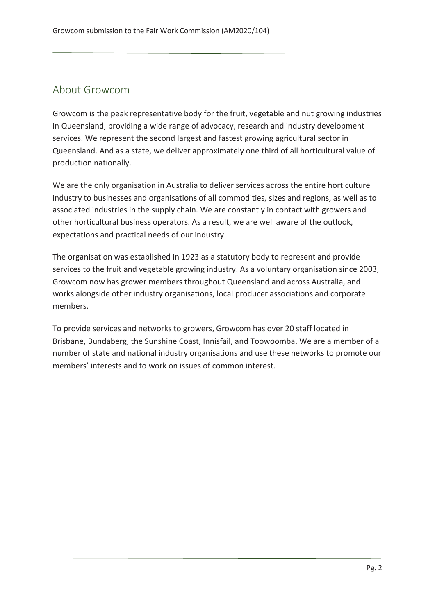### About Growcom

Growcom is the peak representative body for the fruit, vegetable and nut growing industries in Queensland, providing a wide range of advocacy, research and industry development services. We represent the second largest and fastest growing agricultural sector in Queensland. And as a state, we deliver approximately one third of all horticultural value of production nationally.

We are the only organisation in Australia to deliver services across the entire horticulture industry to businesses and organisations of all commodities, sizes and regions, as well as to associated industries in the supply chain. We are constantly in contact with growers and other horticultural business operators. As a result, we are well aware of the outlook, expectations and practical needs of our industry.

The organisation was established in 1923 as a statutory body to represent and provide services to the fruit and vegetable growing industry. As a voluntary organisation since 2003, Growcom now has grower members throughout Queensland and across Australia, and works alongside other industry organisations, local producer associations and corporate members.

To provide services and networks to growers, Growcom has over 20 staff located in Brisbane, Bundaberg, the Sunshine Coast, Innisfail, and Toowoomba. We are a member of a number of state and national industry organisations and use these networks to promote our members' interests and to work on issues of common interest.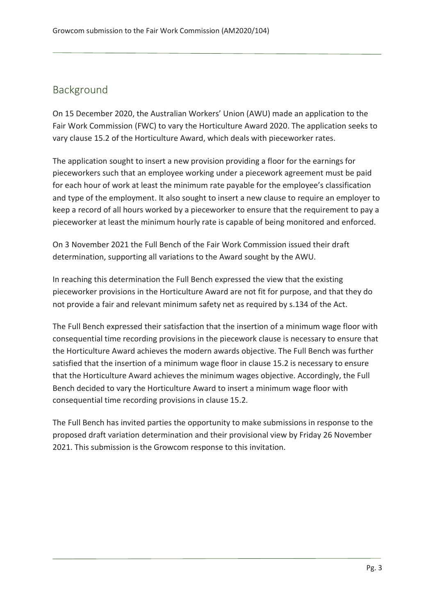### Background

On 15 December 2020, the Australian Workers' Union (AWU) made an application to the Fair Work Commission (FWC) to vary the Horticulture Award 2020. The application seeks to vary clause 15.2 of the Horticulture Award, which deals with pieceworker rates.

The application sought to insert a new provision providing a floor for the earnings for pieceworkers such that an employee working under a piecework agreement must be paid for each hour of work at least the minimum rate payable for the employee's classification and type of the employment. It also sought to insert a new clause to require an employer to keep a record of all hours worked by a pieceworker to ensure that the requirement to pay a pieceworker at least the minimum hourly rate is capable of being monitored and enforced.

On 3 November 2021 the Full Bench of the Fair Work Commission issued their draft determination, supporting all variations to the Award sought by the AWU.

In reaching this determination the Full Bench expressed the view that the existing pieceworker provisions in the Horticulture Award are not fit for purpose, and that they do not provide a fair and relevant minimum safety net as required by s.134 of the Act.

The Full Bench expressed their satisfaction that the insertion of a minimum wage floor with consequential time recording provisions in the piecework clause is necessary to ensure that the Horticulture Award achieves the modern awards objective. The Full Bench was further satisfied that the insertion of a minimum wage floor in clause 15.2 is necessary to ensure that the Horticulture Award achieves the minimum wages objective. Accordingly, the Full Bench decided to vary the Horticulture Award to insert a minimum wage floor with consequential time recording provisions in clause 15.2.

The Full Bench has invited parties the opportunity to make submissions in response to the proposed draft variation determination and their provisional view by Friday 26 November 2021. This submission is the Growcom response to this invitation.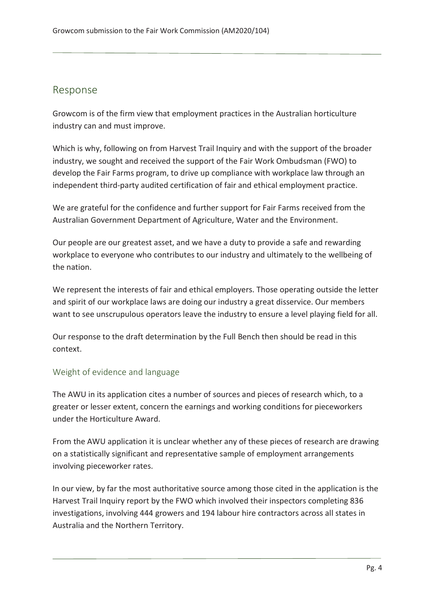### Response

Growcom is of the firm view that employment practices in the Australian horticulture industry can and must improve.

Which is why, following on from Harvest Trail Inquiry and with the support of the broader industry, we sought and received the support of the Fair Work Ombudsman (FWO) to develop the Fair Farms program, to drive up compliance with workplace law through an independent third-party audited certification of fair and ethical employment practice.

We are grateful for the confidence and further support for Fair Farms received from the Australian Government Department of Agriculture, Water and the Environment.

Our people are our greatest asset, and we have a duty to provide a safe and rewarding workplace to everyone who contributes to our industry and ultimately to the wellbeing of the nation.

We represent the interests of fair and ethical employers. Those operating outside the letter and spirit of our workplace laws are doing our industry a great disservice. Our members want to see unscrupulous operators leave the industry to ensure a level playing field for all.

Our response to the draft determination by the Full Bench then should be read in this context.

#### Weight of evidence and language

The AWU in its application cites a number of sources and pieces of research which, to a greater or lesser extent, concern the earnings and working conditions for pieceworkers under the Horticulture Award.

From the AWU application it is unclear whether any of these pieces of research are drawing on a statistically significant and representative sample of employment arrangements involving pieceworker rates.

In our view, by far the most authoritative source among those cited in the application is the Harvest Trail Inquiry report by the FWO which involved their inspectors completing 836 investigations, involving 444 growers and 194 labour hire contractors across all states in Australia and the Northern Territory.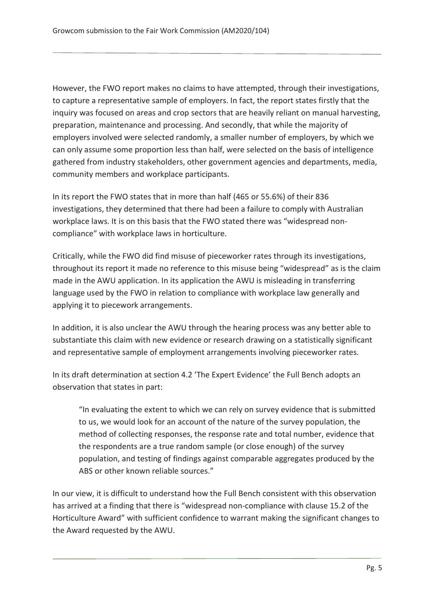However, the FWO report makes no claims to have attempted, through their investigations, to capture a representative sample of employers. In fact, the report states firstly that the inquiry was focused on areas and crop sectors that are heavily reliant on manual harvesting, preparation, maintenance and processing. And secondly, that while the majority of employers involved were selected randomly, a smaller number of employers, by which we can only assume some proportion less than half, were selected on the basis of intelligence gathered from industry stakeholders, other government agencies and departments, media, community members and workplace participants.

In its report the FWO states that in more than half (465 or 55.6%) of their 836 investigations, they determined that there had been a failure to comply with Australian workplace laws. It is on this basis that the FWO stated there was "widespread noncompliance" with workplace laws in horticulture.

Critically, while the FWO did find misuse of pieceworker rates through its investigations, throughout its report it made no reference to this misuse being "widespread" as is the claim made in the AWU application. In its application the AWU is misleading in transferring language used by the FWO in relation to compliance with workplace law generally and applying it to piecework arrangements.

In addition, it is also unclear the AWU through the hearing process was any better able to substantiate this claim with new evidence or research drawing on a statistically significant and representative sample of employment arrangements involving pieceworker rates.

In its draft determination at section 4.2 'The Expert Evidence' the Full Bench adopts an observation that states in part:

"In evaluating the extent to which we can rely on survey evidence that is submitted to us, we would look for an account of the nature of the survey population, the method of collecting responses, the response rate and total number, evidence that the respondents are a true random sample (or close enough) of the survey population, and testing of findings against comparable aggregates produced by the ABS or other known reliable sources."

In our view, it is difficult to understand how the Full Bench consistent with this observation has arrived at a finding that there is "widespread non-compliance with clause 15.2 of the Horticulture Award" with sufficient confidence to warrant making the significant changes to the Award requested by the AWU.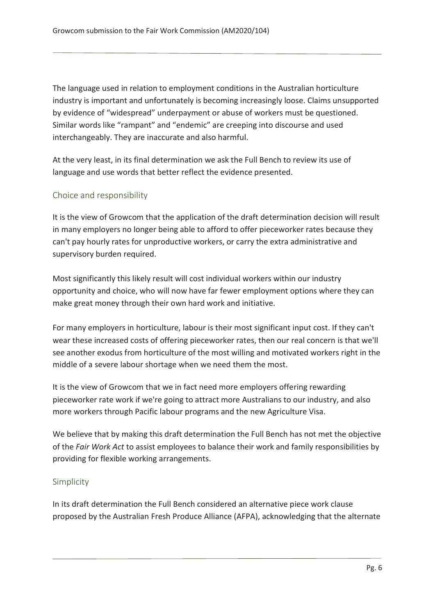The language used in relation to employment conditions in the Australian horticulture industry is important and unfortunately is becoming increasingly loose. Claims unsupported by evidence of "widespread" underpayment or abuse of workers must be questioned. Similar words like "rampant" and "endemic" are creeping into discourse and used interchangeably. They are inaccurate and also harmful.

At the very least, in its final determination we ask the Full Bench to review its use of language and use words that better reflect the evidence presented.

#### Choice and responsibility

It is the view of Growcom that the application of the draft determination decision will result in many employers no longer being able to afford to offer pieceworker rates because they can't pay hourly rates for unproductive workers, or carry the extra administrative and supervisory burden required.

Most significantly this likely result will cost individual workers within our industry opportunity and choice, who will now have far fewer employment options where they can make great money through their own hard work and initiative.

For many employers in horticulture, labour is their most significant input cost. If they can't wear these increased costs of offering pieceworker rates, then our real concern is that we'll see another exodus from horticulture of the most willing and motivated workers right in the middle of a severe labour shortage when we need them the most.

It is the view of Growcom that we in fact need more employers offering rewarding pieceworker rate work if we're going to attract more Australians to our industry, and also more workers through Pacific labour programs and the new Agriculture Visa.

We believe that by making this draft determination the Full Bench has not met the objective of the Fair Work Act to assist employees to balance their work and family responsibilities by providing for flexible working arrangements.

#### Simplicity

In its draft determination the Full Bench considered an alternative piece work clause proposed by the Australian Fresh Produce Alliance (AFPA), acknowledging that the alternate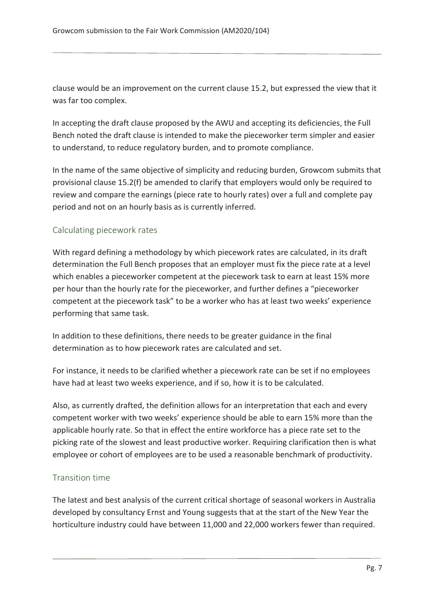clause would be an improvement on the current clause 15.2, but expressed the view that it was far too complex.

In accepting the draft clause proposed by the AWU and accepting its deficiencies, the Full Bench noted the draft clause is intended to make the pieceworker term simpler and easier to understand, to reduce regulatory burden, and to promote compliance.

In the name of the same objective of simplicity and reducing burden, Growcom submits that provisional clause 15.2(f) be amended to clarify that employers would only be required to review and compare the earnings (piece rate to hourly rates) over a full and complete pay period and not on an hourly basis as is currently inferred.

#### Calculating piecework rates

With regard defining a methodology by which piecework rates are calculated, in its draft determination the Full Bench proposes that an employer must fix the piece rate at a level which enables a pieceworker competent at the piecework task to earn at least 15% more per hour than the hourly rate for the pieceworker, and further defines a "pieceworker competent at the piecework task" to be a worker who has at least two weeks' experience performing that same task.

In addition to these definitions, there needs to be greater guidance in the final determination as to how piecework rates are calculated and set.

For instance, it needs to be clarified whether a piecework rate can be set if no employees have had at least two weeks experience, and if so, how it is to be calculated.

Also, as currently drafted, the definition allows for an interpretation that each and every competent worker with two weeks' experience should be able to earn 15% more than the applicable hourly rate. So that in effect the entire workforce has a piece rate set to the picking rate of the slowest and least productive worker. Requiring clarification then is what employee or cohort of employees are to be used a reasonable benchmark of productivity.

#### Transition time

The latest and best analysis of the current critical shortage of seasonal workers in Australia developed by consultancy Ernst and Young suggests that at the start of the New Year the horticulture industry could have between 11,000 and 22,000 workers fewer than required.